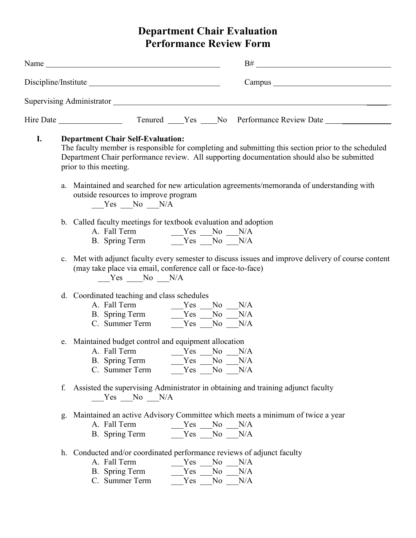## **Department Chair Evaluation Performance Review Form**

|    | Name                                                                                                                                                                                                                                                                    |  |  |  |
|----|-------------------------------------------------------------------------------------------------------------------------------------------------------------------------------------------------------------------------------------------------------------------------|--|--|--|
|    |                                                                                                                                                                                                                                                                         |  |  |  |
|    | Supervising Administrator Supervision Supervision Administrator                                                                                                                                                                                                         |  |  |  |
|    |                                                                                                                                                                                                                                                                         |  |  |  |
| I. | <b>Department Chair Self-Evaluation:</b><br>The faculty member is responsible for completing and submitting this section prior to the scheduled<br>Department Chair performance review. All supporting documentation should also be submitted<br>prior to this meeting. |  |  |  |
|    | a. Maintained and searched for new articulation agreements/memoranda of understanding with<br>outside resources to improve program<br>Yes No N/A                                                                                                                        |  |  |  |
|    | b. Called faculty meetings for textbook evaluation and adoption<br>A. Fall Term $Yes$ No N/A<br>B. Spring Term $Yes$ No N/A                                                                                                                                             |  |  |  |
|    | c. Met with adjunct faculty every semester to discuss issues and improve delivery of course content<br>(may take place via email, conference call or face-to-face)<br>$Yes$ No $N/A$                                                                                    |  |  |  |
|    | d. Coordinated teaching and class schedules<br>A. Fall Term $Yes$ No N/A<br>B. Spring Term $Yes$ No N/A<br>N/A<br>N/A                                                                                                                                                   |  |  |  |
|    | e. Maintained budget control and equipment allocation<br>A. Fall Term $\begin{array}{c c}\n\text{Yes} & \text{No} & \text{N/A} \\ \hline\n\text{B. Spring Term} & \text{Yes} & \text{No} & \text{N/A}\n\end{array}$<br>Yes No N/A<br>C. Summer Term                     |  |  |  |
|    | f. Assisted the supervising Administrator in obtaining and training adjunct faculty<br>Yes No N/A                                                                                                                                                                       |  |  |  |
|    | g. Maintained an active Advisory Committee which meets a minimum of twice a year<br>A. Fall Term<br>Yes No N/A<br>B. Spring Term<br>$Yes$ No $N/A$                                                                                                                      |  |  |  |
|    | h. Conducted and/or coordinated performance reviews of adjunct faculty<br>A. Fall Term<br>$Yes$ No N/A<br>B. Spring Term<br>Yes No<br>N/A<br>C. Summer Term<br>Yes<br>N <sub>o</sub><br>N/A                                                                             |  |  |  |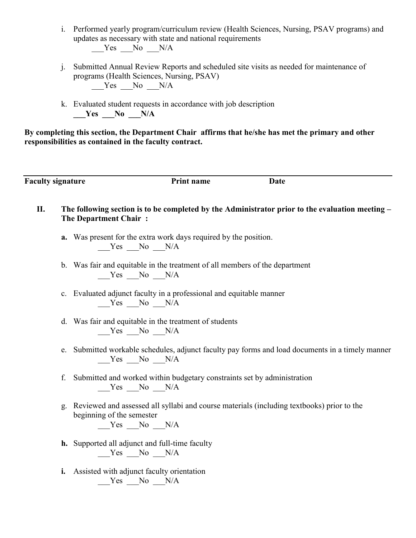- i. Performed yearly program/curriculum review (Health Sciences, Nursing, PSAV programs) and updates as necessary with state and national requirements  $Yes$  No  $N/A$
- j. Submitted Annual Review Reports and scheduled site visits as needed for maintenance of programs (Health Sciences, Nursing, PSAV)  $Yes$  No  $N/A$
- k. Evaluated student requests in accordance with job description **Tes No N/A**

**By completing this section, the Department Chair affirms that he/she has met the primary and other responsibilities as contained in the faculty contract.**

**Faculty signature Print name Date** 

- **II. The following section is to be completed by the Administrator prior to the evaluation meeting – The Department Chair :**
	- **a.** Was present for the extra work days required by the position.  $Yes$  No  $N/A$
	- b. Was fair and equitable in the treatment of all members of the department  $Yes$  No  $N/A$
	- c. Evaluated adjunct faculty in a professional and equitable manner Yes No N/A
	- d. Was fair and equitable in the treatment of students  $Yes$  No  $N/A$
	- e. Submitted workable schedules, adjunct faculty pay forms and load documents in a timely manner Yes No N/A
	- f. Submitted and worked within budgetary constraints set by administration  $Yes$  No  $N/A$
	- g. Reviewed and assessed all syllabi and course materials (including textbooks) prior to the beginning of the semester  $Yes$  No N/A
	- **h.** Supported all adjunct and full-time faculty  $Yes$  No  $N/A$
	- **i.** Assisted with adjunct faculty orientation  $Yes$  No  $N/A$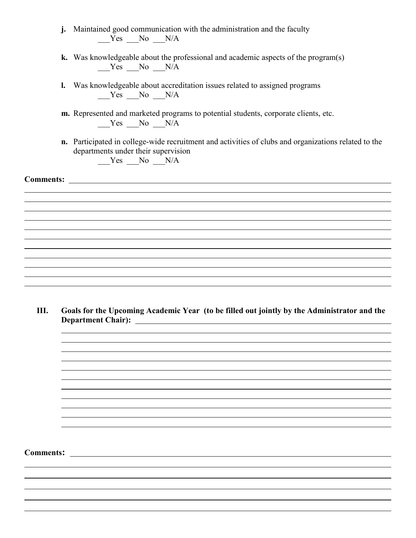- **j.** Maintained good communication with the administration and the faculty  $Yes$  No  $N/A$
- **k.** Was knowledgeable about the professional and academic aspects of the program(s)  $Yes$  No  $N/A$
- **l.** Was knowledgeable about accreditation issues related to assigned programs Yes No N/A
- **m.** Represented and marketed programs to potential students, corporate clients, etc. Yes No N/A
- **n.** Participated in college-wide recruitment and activities of clubs and organizations related to the departments under their supervision

 $Yes$  No  $N/A$ 

**Comments:** 

**III. Goals for the Upcoming Academic Year (to be filled out jointly by the Administrator and the Department Chair):**

**Comments:**